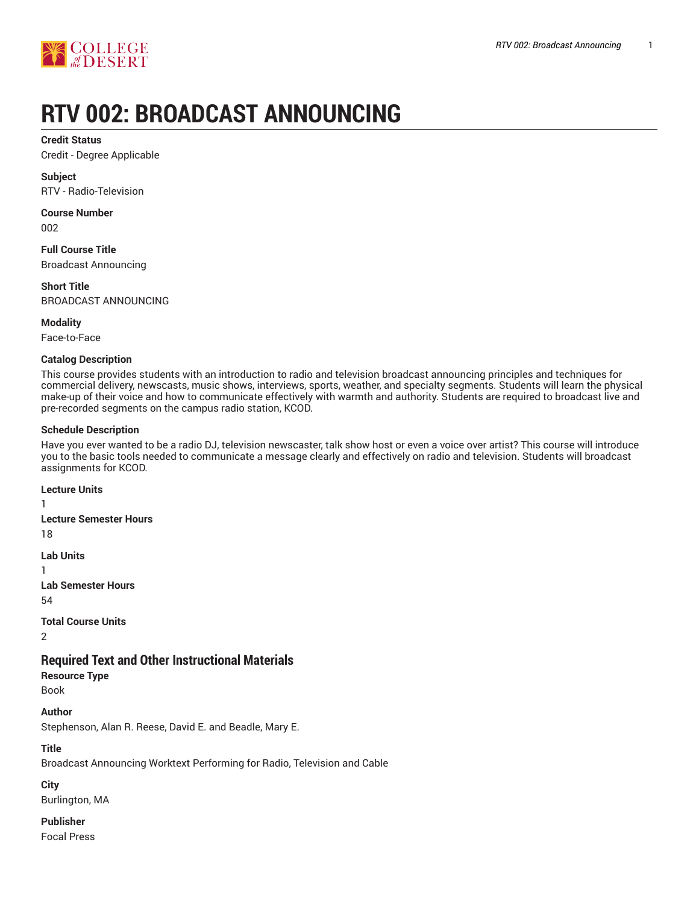

# **RTV 002: BROADCAST ANNOUNCING**

**Credit Status**

Credit - Degree Applicable

**Subject** RTV - Radio-Television

**Course Number** 002

**Full Course Title** Broadcast Announcing

**Short Title** BROADCAST ANNOUNCING

**Modality**

Face-to-Face

## **Catalog Description**

This course provides students with an introduction to radio and television broadcast announcing principles and techniques for commercial delivery, newscasts, music shows, interviews, sports, weather, and specialty segments. Students will learn the physical make-up of their voice and how to communicate effectively with warmth and authority. Students are required to broadcast live and pre-recorded segments on the campus radio station, KCOD.

## **Schedule Description**

Have you ever wanted to be a radio DJ, television newscaster, talk show host or even a voice over artist? This course will introduce you to the basic tools needed to communicate a message clearly and effectively on radio and television. Students will broadcast assignments for KCOD.

**Lecture Units** 1 **Lecture Semester Hours** 18 **Lab Units** 1 **Lab Semester Hours** 54 **Total Course Units** 2 **Required Text and Other Instructional Materials Resource Type** Book **Author** Stephenson, Alan R. Reese, David E. and Beadle, Mary E.

**Title**

Broadcast Announcing Worktext Performing for Radio, Television and Cable

## **City**

Burlington, MA

**Publisher**

Focal Press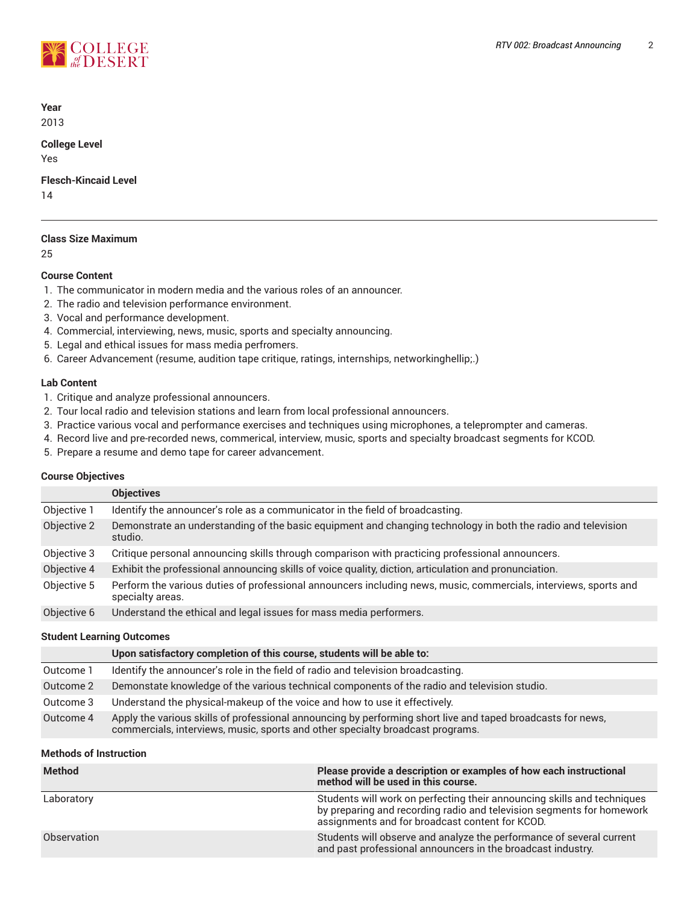

**Year** 2013

# **College Level**

Yes

**Flesch-Kincaid Level**

14

# **Class Size Maximum**

25

# **Course Content**

- 1. The communicator in modern media and the various roles of an announcer.
- 2. The radio and television performance environment.
- 3. Vocal and performance development.
- 4. Commercial, interviewing, news, music, sports and specialty announcing.
- 5. Legal and ethical issues for mass media perfromers.
- 6. Career Advancement (resume, audition tape critique, ratings, internships, networkinghellip;.)

#### **Lab Content**

- 1. Critique and analyze professional announcers.
- 2. Tour local radio and television stations and learn from local professional announcers.
- 3. Practice various vocal and performance exercises and techniques using microphones, a teleprompter and cameras.
- 4. Record live and pre-recorded news, commerical, interview, music, sports and specialty broadcast segments for KCOD.
- 5. Prepare a resume and demo tape for career advancement.

#### **Course Objectives**

|             | <b>Objectives</b>                                                                                                                    |
|-------------|--------------------------------------------------------------------------------------------------------------------------------------|
| Objective 1 | Identify the announcer's role as a communicator in the field of broadcasting.                                                        |
| Objective 2 | Demonstrate an understanding of the basic equipment and changing technology in both the radio and television<br>studio.              |
| Objective 3 | Critique personal announcing skills through comparison with practicing professional announcers.                                      |
| Objective 4 | Exhibit the professional announcing skills of voice quality, diction, articulation and pronunciation.                                |
| Objective 5 | Perform the various duties of professional announcers including news, music, commercials, interviews, sports and<br>specialty areas. |
| Objective 6 | Understand the ethical and legal issues for mass media performers.                                                                   |

#### **Student Learning Outcomes**

|           | Upon satisfactory completion of this course, students will be able to:                                                                                                                        |
|-----------|-----------------------------------------------------------------------------------------------------------------------------------------------------------------------------------------------|
| Outcome 1 | Identify the announcer's role in the field of radio and television broadcasting.                                                                                                              |
| Outcome 2 | Demonstate knowledge of the various technical components of the radio and television studio.                                                                                                  |
| Outcome 3 | Understand the physical-makeup of the voice and how to use it effectively.                                                                                                                    |
| Outcome 4 | Apply the various skills of professional announcing by performing short live and taped broadcasts for news,<br>commercials, interviews, music, sports and other specialty broadcast programs. |

# **Methods of Instruction**

| <b>Method</b> | Please provide a description or examples of how each instructional<br>method will be used in this course.                                                                                           |
|---------------|-----------------------------------------------------------------------------------------------------------------------------------------------------------------------------------------------------|
| Laboratory    | Students will work on perfecting their announcing skills and techniques<br>by preparing and recording radio and television segments for homework<br>assignments and for broadcast content for KCOD. |
| Observation   | Students will observe and analyze the performance of several current<br>and past professional announcers in the broadcast industry.                                                                 |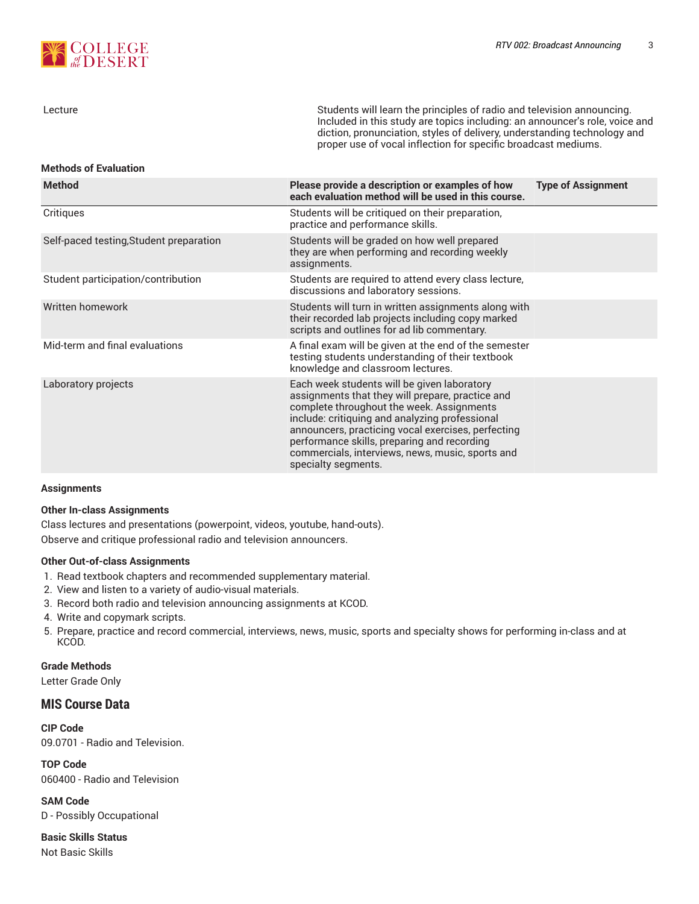

| Lecture                                 | Students will learn the principles of radio and television announcing.<br>Included in this study are topics including: an announcer's role, voice and<br>diction, pronunciation, styles of delivery, understanding technology and<br>proper use of vocal inflection for specific broadcast mediums.                                                                            |                           |  |  |  |  |
|-----------------------------------------|--------------------------------------------------------------------------------------------------------------------------------------------------------------------------------------------------------------------------------------------------------------------------------------------------------------------------------------------------------------------------------|---------------------------|--|--|--|--|
| <b>Methods of Evaluation</b>            |                                                                                                                                                                                                                                                                                                                                                                                |                           |  |  |  |  |
| <b>Method</b>                           | Please provide a description or examples of how<br>each evaluation method will be used in this course.                                                                                                                                                                                                                                                                         | <b>Type of Assignment</b> |  |  |  |  |
| Critiques                               | Students will be critiqued on their preparation,<br>practice and performance skills.                                                                                                                                                                                                                                                                                           |                           |  |  |  |  |
| Self-paced testing, Student preparation | Students will be graded on how well prepared<br>they are when performing and recording weekly<br>assignments.                                                                                                                                                                                                                                                                  |                           |  |  |  |  |
| Student participation/contribution      | Students are required to attend every class lecture,<br>discussions and laboratory sessions.                                                                                                                                                                                                                                                                                   |                           |  |  |  |  |
| Written homework                        | Students will turn in written assignments along with<br>their recorded lab projects including copy marked<br>scripts and outlines for ad lib commentary.                                                                                                                                                                                                                       |                           |  |  |  |  |
| Mid-term and final evaluations          | A final exam will be given at the end of the semester<br>testing students understanding of their textbook<br>knowledge and classroom lectures.                                                                                                                                                                                                                                 |                           |  |  |  |  |
| Laboratory projects                     | Each week students will be given laboratory<br>assignments that they will prepare, practice and<br>complete throughout the week. Assignments<br>include: critiquing and analyzing professional<br>announcers, practicing vocal exercises, perfecting<br>performance skills, preparing and recording<br>commercials, interviews, news, music, sports and<br>specialty segments. |                           |  |  |  |  |

#### **Assignments**

#### **Other In-class Assignments**

Class lectures and presentations (powerpoint, videos, youtube, hand-outs). Observe and critique professional radio and television announcers.

#### **Other Out-of-class Assignments**

- 1. Read textbook chapters and recommended supplementary material.
- 2. View and listen to a variety of audio-visual materials.
- 3. Record both radio and television announcing assignments at KCOD.
- 4. Write and copymark scripts.
- 5. Prepare, practice and record commercial, interviews, news, music, sports and specialty shows for performing in-class and at KCOD.

**Grade Methods**

Letter Grade Only

# **MIS Course Data**

**CIP Code** 09.0701 - Radio and Television.

**TOP Code** 060400 - Radio and Television

**SAM Code** D - Possibly Occupational

**Basic Skills Status** Not Basic Skills